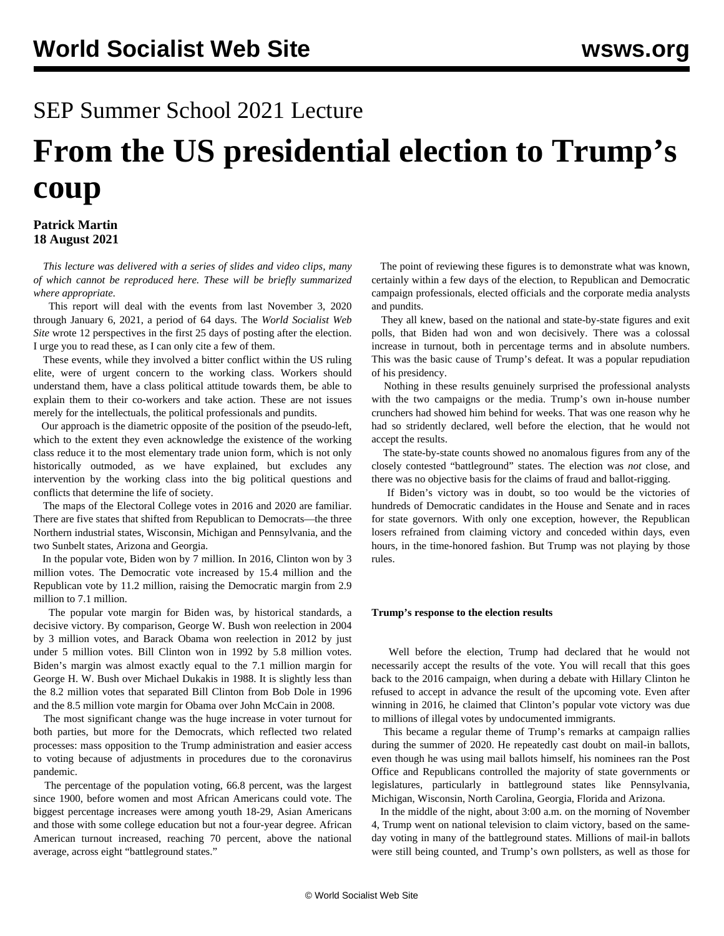## SEP Summer School 2021 Lecture

# **From the US presidential election to Trump's coup**

### **Patrick Martin 18 August 2021**

 *This lecture was delivered with a series of slides and video clips, many of which cannot be reproduced here. These will be briefly summarized where appropriate.*

 This report will deal with the events from last November 3, 2020 through January 6, 2021, a period of 64 days. The *World Socialist Web Site* wrote 12 perspectives in the first 25 days of posting after the election. I urge you to read these, as I can only cite a few of them.

 These events, while they involved a bitter conflict within the US ruling elite, were of urgent concern to the working class. Workers should understand them, have a class political attitude towards them, be able to explain them to their co-workers and take action. These are not issues merely for the intellectuals, the political professionals and pundits.

 Our approach is the diametric opposite of the position of the pseudo-left, which to the extent they even acknowledge the existence of the working class reduce it to the most elementary trade union form, which is not only historically outmoded, as we have explained, but excludes any intervention by the working class into the big political questions and conflicts that determine the life of society.

 The maps of the Electoral College votes in 2016 and 2020 are familiar. There are five states that shifted from Republican to Democrats—the three Northern industrial states, Wisconsin, Michigan and Pennsylvania, and the two Sunbelt states, Arizona and Georgia.

 In the popular vote, Biden won by 7 million. In 2016, Clinton won by 3 million votes. The Democratic vote increased by 15.4 million and the Republican vote by 11.2 million, raising the Democratic margin from 2.9 million to 7.1 million.

 The popular vote margin for Biden was, by historical standards, a decisive victory. By comparison, George W. Bush won reelection in 2004 by 3 million votes, and Barack Obama won reelection in 2012 by just under 5 million votes. Bill Clinton won in 1992 by 5.8 million votes. Biden's margin was almost exactly equal to the 7.1 million margin for George H. W. Bush over Michael Dukakis in 1988. It is slightly less than the 8.2 million votes that separated Bill Clinton from Bob Dole in 1996 and the 8.5 million vote margin for Obama over John McCain in 2008.

 The most significant change was the huge increase in voter turnout for both parties, but more for the Democrats, which reflected two related processes: mass opposition to the Trump administration and easier access to voting because of adjustments in procedures due to the coronavirus pandemic.

 The percentage of the population voting, 66.8 percent, was the largest since 1900, before women and most African Americans could vote. The biggest percentage increases were among youth 18-29, Asian Americans and those with some college education but not a four-year degree. African American turnout increased, reaching 70 percent, above the national average, across eight "battleground states."

 The point of reviewing these figures is to demonstrate what was known, certainly within a few days of the election, to Republican and Democratic campaign professionals, elected officials and the corporate media analysts and pundits.

 They all knew, based on the national and state-by-state figures and exit polls, that Biden had won and won decisively. There was a colossal increase in turnout, both in percentage terms and in absolute numbers. This was the basic cause of Trump's defeat. It was a popular repudiation of his presidency.

 Nothing in these results genuinely surprised the professional analysts with the two campaigns or the media. Trump's own in-house number crunchers had showed him behind for weeks. That was one reason why he had so stridently declared, well before the election, that he would not accept the results.

 The state-by-state counts showed no anomalous figures from any of the closely contested "battleground" states. The election was *not* close, and there was no objective basis for the claims of fraud and ballot-rigging.

 If Biden's victory was in doubt, so too would be the victories of hundreds of Democratic candidates in the House and Senate and in races for state governors. With only one exception, however, the Republican losers refrained from claiming victory and conceded within days, even hours, in the time-honored fashion. But Trump was not playing by those rules.

#### **Trump's response to the election results**

 Well before the election, Trump had declared that he would not necessarily accept the results of the vote. You will recall that this goes back to the 2016 campaign, when during a debate with Hillary Clinton he refused to accept in advance the result of the upcoming vote. Even after winning in 2016, he claimed that Clinton's popular vote victory was due to millions of illegal votes by undocumented immigrants.

 This became a regular theme of Trump's remarks at campaign rallies during the summer of 2020. He repeatedly cast doubt on mail-in ballots, even though he was using mail ballots himself, his nominees ran the Post Office and Republicans controlled the majority of state governments or legislatures, particularly in battleground states like Pennsylvania, Michigan, Wisconsin, North Carolina, Georgia, Florida and Arizona.

 In the middle of the night, about 3:00 a.m. on the morning of November 4, Trump went on national television to claim victory, based on the sameday voting in many of the battleground states. Millions of mail-in ballots were still being counted, and Trump's own pollsters, as well as those for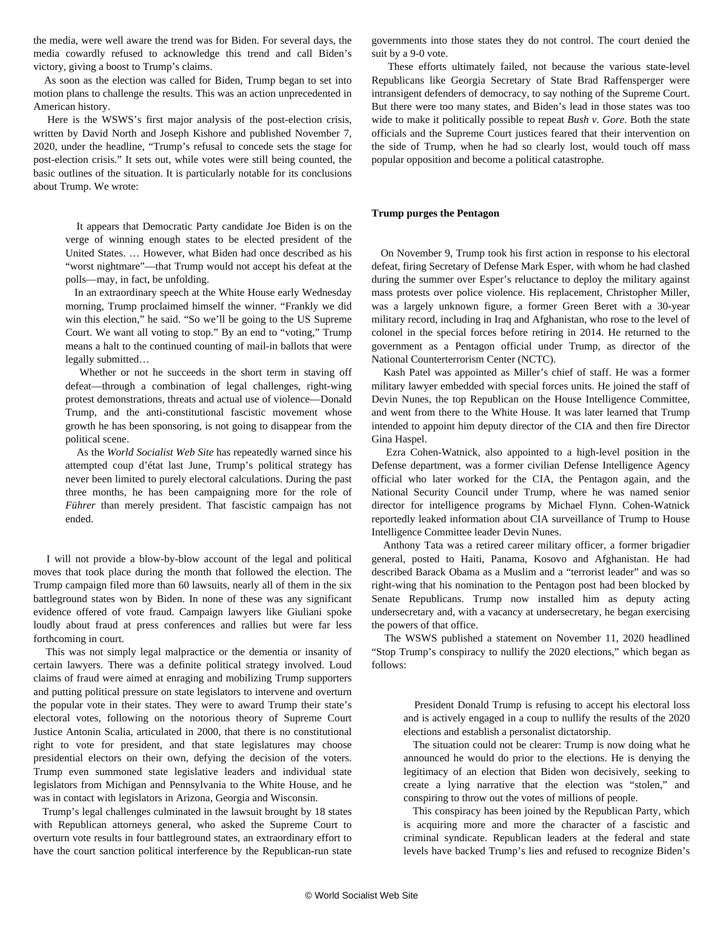the media, were well aware the trend was for Biden. For several days, the media cowardly refused to acknowledge this trend and call Biden's victory, giving a boost to Trump's claims.

 As soon as the election was called for Biden, Trump began to set into motion plans to challenge the results. This was an action unprecedented in American history.

 Here is the WSWS's first major analysis of the post-election crisis, written by David North and Joseph Kishore and published November 7, 2020, under the headline, "[Trump's refusal to concede sets the stage for](/en/articles/2020/11/05/pers-n05.html) [post-election crisis.](/en/articles/2020/11/05/pers-n05.html)" It sets out, while votes were still being counted, the basic outlines of the situation. It is particularly notable for its conclusions about Trump. We wrote:

 It appears that Democratic Party candidate Joe Biden is on the verge of winning enough states to be elected president of the United States. … However, what Biden had once described as his "worst nightmare"—that Trump would not accept his defeat at the polls—may, in fact, be unfolding.

 In an extraordinary speech at the White House early Wednesday morning, Trump proclaimed himself the winner. "Frankly we did win this election," he said. "So we'll be going to the US Supreme Court. We want all voting to stop." By an end to "voting," Trump means a halt to the continued counting of mail-in ballots that were legally submitted…

 Whether or not he succeeds in the short term in staving off defeat—through a combination of legal challenges, right-wing protest demonstrations, threats and actual use of violence—Donald Trump, and the anti-constitutional fascistic movement whose growth he has been sponsoring, is not going to disappear from the political scene.

 As the *World Socialist Web Site* has repeatedly warned since his attempted coup d'état last June, Trump's political strategy has never been limited to purely electoral calculations. During the past three months, he has been campaigning more for the role of *Führer* than merely president. That fascistic campaign has not ended.

 I will not provide a blow-by-blow account of the legal and political moves that took place during the month that followed the election. The Trump campaign filed more than 60 lawsuits, nearly all of them in the six battleground states won by Biden. In none of these was any significant evidence offered of vote fraud. Campaign lawyers like Giuliani spoke loudly about fraud at press conferences and rallies but were far less forthcoming in court.

 This was not simply legal malpractice or the dementia or insanity of certain lawyers. There was a definite political strategy involved. Loud claims of fraud were aimed at enraging and mobilizing Trump supporters and putting political pressure on state legislators to intervene and overturn the popular vote in their states. They were to award Trump their state's electoral votes, following on the notorious theory of Supreme Court Justice Antonin Scalia, articulated in 2000, that there is no constitutional right to vote for president, and that state legislatures may choose presidential electors on their own, defying the decision of the voters. Trump even summoned state legislative leaders and individual state legislators from Michigan and Pennsylvania to the White House, and he was in contact with legislators in Arizona, Georgia and Wisconsin.

 Trump's legal challenges culminated in the lawsuit brought by 18 states with Republican attorneys general, who asked the Supreme Court to overturn vote results in four battleground states, an extraordinary effort to have the court sanction political interference by the Republican-run state governments into those states they do not control. The court denied the suit by a 9-0 vote.

 These efforts ultimately failed, not because the various state-level Republicans like Georgia Secretary of State Brad Raffensperger were intransigent defenders of democracy, to say nothing of the Supreme Court. But there were too many states, and Biden's lead in those states was too wide to make it politically possible to repeat *Bush v. Gore*. Both the state officials and the Supreme Court justices feared that their intervention on the side of Trump, when he had so clearly lost, would touch off mass popular opposition and become a political catastrophe.

#### **Trump purges the Pentagon**

 On November 9, Trump took his first action in response to his electoral defeat, firing Secretary of Defense Mark Esper, with whom he had clashed during the summer over Esper's reluctance to deploy the military against mass protests over police violence. His replacement, Christopher Miller, was a largely unknown figure, a former Green Beret with a 30-year military record, including in Iraq and Afghanistan, who rose to the level of colonel in the special forces before retiring in 2014. He returned to the government as a Pentagon official under Trump, as director of the National Counterterrorism Center (NCTC).

 Kash Patel was appointed as Miller's chief of staff. He was a former military lawyer embedded with special forces units. He joined the staff of Devin Nunes, the top Republican on the House Intelligence Committee, and went from there to the White House. It was later learned that Trump intended to appoint him deputy director of the CIA and then fire Director Gina Haspel.

 Ezra Cohen-Watnick, also appointed to a high-level position in the Defense department, was a former civilian Defense Intelligence Agency official who later worked for the CIA, the Pentagon again, and the National Security Council under Trump, where he was named senior director for intelligence programs by Michael Flynn. Cohen-Watnick reportedly leaked information about CIA surveillance of Trump to House Intelligence Committee leader Devin Nunes.

 Anthony Tata was a retired career military officer, a former brigadier general, posted to Haiti, Panama, Kosovo and Afghanistan. He had described Barack Obama as a Muslim and a "terrorist leader" and was so right-wing that his nomination to the Pentagon post had been blocked by Senate Republicans. Trump now installed him as deputy acting undersecretary and, with a vacancy at undersecretary, he began exercising the powers of that office.

 The WSWS published a statement on November 11, 2020 headlined ["Stop Trump's conspiracy to nullify the 2020 elections,](/en/articles/2020/11/11/pers-n11.html)" which began as follows:

 President Donald Trump is refusing to accept his electoral loss and is actively engaged in a coup to nullify the results of the 2020 elections and establish a personalist dictatorship.

 The situation could not be clearer: Trump is now doing what he announced he would do prior to the elections. He is denying the legitimacy of an election that Biden won decisively, seeking to create a lying narrative that the election was "stolen," and conspiring to throw out the votes of millions of people.

 This conspiracy has been joined by the Republican Party, which is acquiring more and more the character of a fascistic and criminal syndicate. Republican leaders at the federal and state levels have backed Trump's lies and refused to recognize Biden's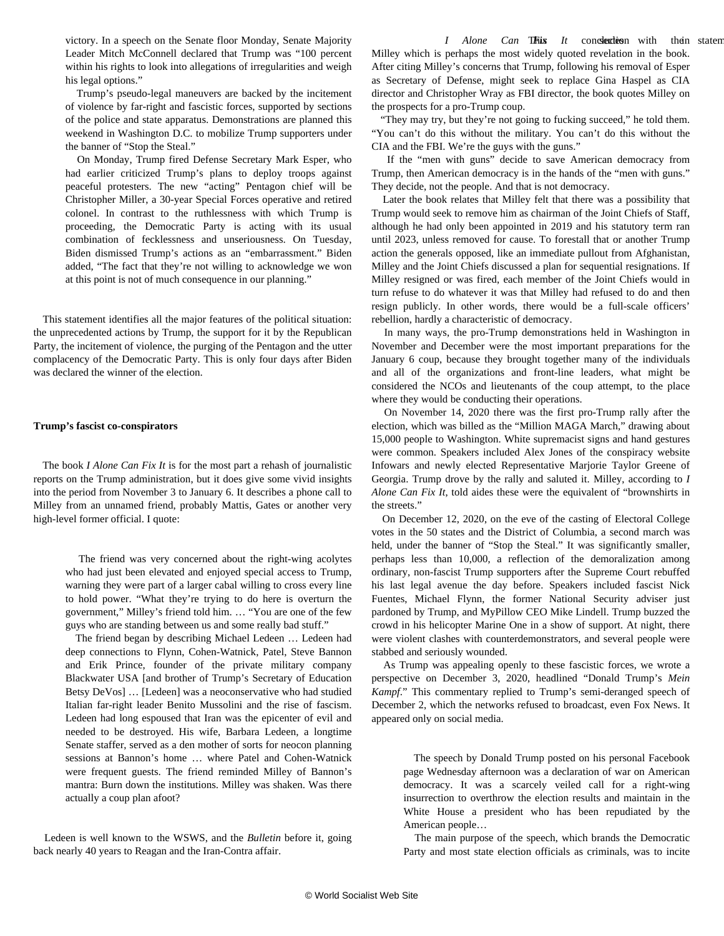victory. In a speech on the Senate floor Monday, Senate Majority Leader Mitch McConnell declared that Trump was "100 percent within his rights to look into allegations of irregularities and weigh his legal options."

 Trump's pseudo-legal maneuvers are backed by the incitement of violence by far-right and fascistic forces, supported by sections of the police and state apparatus. Demonstrations are planned this weekend in Washington D.C. to mobilize Trump supporters under the banner of "Stop the Steal."

 On Monday, Trump fired Defense Secretary Mark Esper, who had earlier criticized Trump's plans to deploy troops against peaceful protesters. The new "acting" Pentagon chief will be Christopher Miller, a 30-year Special Forces operative and retired colonel. In contrast to the ruthlessness with which Trump is proceeding, the Democratic Party is acting with its usual combination of fecklessness and unseriousness. On Tuesday, Biden dismissed Trump's actions as an "embarrassment." Biden added, "The fact that they're not willing to acknowledge we won at this point is not of much consequence in our planning."

 This statement identifies all the major features of the political situation: the unprecedented actions by Trump, the support for it by the Republican Party, the incitement of violence, the purging of the Pentagon and the utter complacency of the Democratic Party. This is only four days after Biden was declared the winner of the election.

#### **Trump's fascist co-conspirators**

 The book *I Alone Can Fix It* is for the most part a rehash of journalistic reports on the Trump administration, but it does give some vivid insights into the period from November 3 to January 6. It describes a phone call to Milley from an unnamed friend, probably Mattis, Gates or another very high-level former official. I quote:

> The friend was very concerned about the right-wing acolytes who had just been elevated and enjoyed special access to Trump, warning they were part of a larger cabal willing to cross every line to hold power. "What they're trying to do here is overturn the government," Milley's friend told him. … "You are one of the few guys who are standing between us and some really bad stuff."

> The friend began by describing Michael Ledeen … Ledeen had deep connections to Flynn, Cohen-Watnick, Patel, Steve Bannon and Erik Prince, founder of the private military company Blackwater USA [and brother of Trump's Secretary of Education Betsy DeVos] … [Ledeen] was a neoconservative who had studied Italian far-right leader Benito Mussolini and the rise of fascism. Ledeen had long espoused that Iran was the epicenter of evil and needed to be destroyed. His wife, Barbara Ledeen, a longtime Senate staffer, served as a den mother of sorts for neocon planning sessions at Bannon's home … where Patel and Cohen-Watnick were frequent guests. The friend reminded Milley of Bannon's mantra: Burn down the institutions. Milley was shaken. Was there actually a coup plan afoot?

 Ledeen is well known to the WSWS, and the *Bulletin* before it, going back nearly 40 years to Reagan and the Iran-Contra affair.

I Alone Can This It concleation with thein statem Milley which is perhaps the most widely quoted revelation in the book. After citing Milley's concerns that Trump, following his removal of Esper as Secretary of Defense, might seek to replace Gina Haspel as CIA director and Christopher Wray as FBI director, the book quotes Milley on the prospects for a pro-Trump coup.

 "They may try, but they're not going to fucking succeed," he told them. "You can't do this without the military. You can't do this without the CIA and the FBI. We're the guys with the guns."

 If the "men with guns" decide to save American democracy from Trump, then American democracy is in the hands of the "men with guns." They decide, not the people. And that is not democracy.

 Later the book relates that Milley felt that there was a possibility that Trump would seek to remove him as chairman of the Joint Chiefs of Staff, although he had only been appointed in 2019 and his statutory term ran until 2023, unless removed for cause. To forestall that or another Trump action the generals opposed, like an immediate pullout from Afghanistan, Milley and the Joint Chiefs discussed a plan for sequential resignations. If Milley resigned or was fired, each member of the Joint Chiefs would in turn refuse to do whatever it was that Milley had refused to do and then resign publicly. In other words, there would be a full-scale officers' rebellion, hardly a characteristic of democracy.

 In many ways, the pro-Trump demonstrations held in Washington in November and December were the most important preparations for the January 6 coup, because they brought together many of the individuals and all of the organizations and front-line leaders, what might be considered the NCOs and lieutenants of the coup attempt, to the place where they would be conducting their operations.

 On November 14, 2020 there was the first pro-Trump rally after the election, which was billed as the "Million MAGA March," drawing about 15,000 people to Washington. White supremacist signs and hand gestures were common. Speakers included Alex Jones of the conspiracy website Infowars and newly elected Representative Marjorie Taylor Greene of Georgia. Trump drove by the rally and saluted it. Milley, according to *I Alone Can Fix It*, told aides these were the equivalent of "brownshirts in the streets."

 On December 12, 2020, on the eve of the casting of Electoral College votes in the 50 states and the District of Columbia, a second march was held, under the banner of "Stop the Steal." It was significantly smaller, perhaps less than 10,000, a reflection of the demoralization among ordinary, non-fascist Trump supporters after the Supreme Court rebuffed his last legal avenue the day before. Speakers included fascist Nick Fuentes, Michael Flynn, the former National Security adviser just pardoned by Trump, and MyPillow CEO Mike Lindell. Trump buzzed the crowd in his helicopter Marine One in a show of support. At night, there were violent clashes with counterdemonstrators, and several people were stabbed and seriously wounded.

 As Trump was appealing openly to these fascistic forces, we wrote a perspective on December 3, 2020, headlined "[Donald Trump's](/en/articles/2020/12/03/pers-d03.html) *[Mein](/en/articles/2020/12/03/pers-d03.html) [Kampf](/en/articles/2020/12/03/pers-d03.html)*." This commentary replied to Trump's semi-deranged speech of December 2, which the networks refused to broadcast, even Fox News. It appeared only on social media.

 The speech by Donald Trump posted on his personal Facebook page Wednesday afternoon was a declaration of war on American democracy. It was a scarcely veiled call for a right-wing insurrection to overthrow the election results and maintain in the White House a president who has been repudiated by the American people…

 The main purpose of the speech, which brands the Democratic Party and most state election officials as criminals, was to incite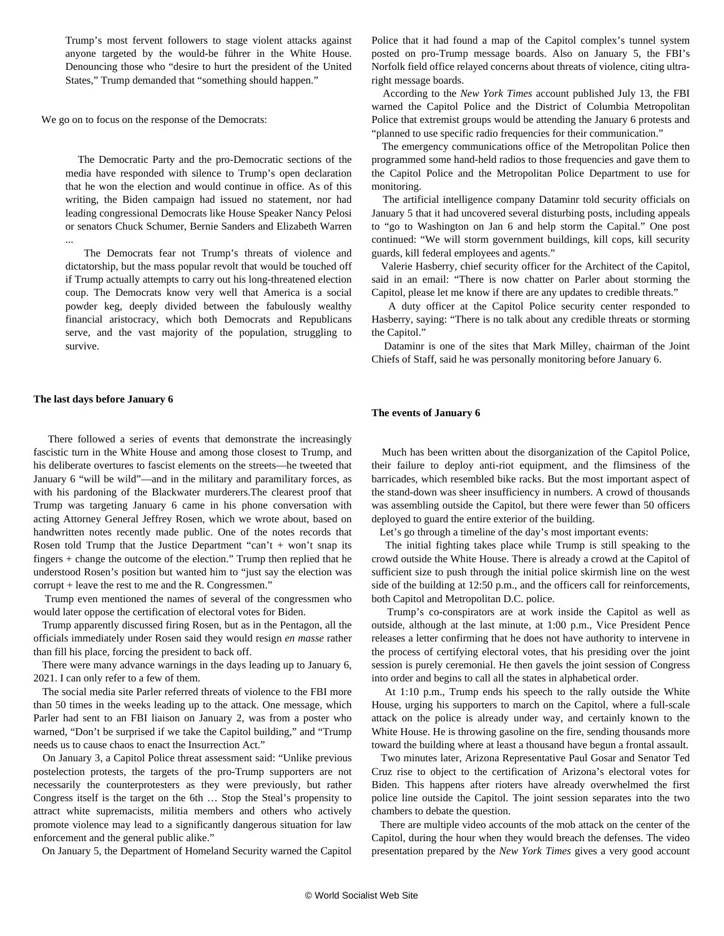Trump's most fervent followers to stage violent attacks against anyone targeted by the would-be führer in the White House. Denouncing those who "desire to hurt the president of the United States," Trump demanded that "something should happen."

We go on to focus on the response of the Democrats:

 The Democratic Party and the pro-Democratic sections of the media have responded with silence to Trump's open declaration that he won the election and would continue in office. As of this writing, the Biden campaign had issued no statement, nor had leading congressional Democrats like House Speaker Nancy Pelosi or senators Chuck Schumer, Bernie Sanders and Elizabeth Warren ...

 The Democrats fear not Trump's threats of violence and dictatorship, but the mass popular revolt that would be touched off if Trump actually attempts to carry out his long-threatened election coup. The Democrats know very well that America is a social powder keg, deeply divided between the fabulously wealthy financial aristocracy, which both Democrats and Republicans serve, and the vast majority of the population, struggling to survive.

#### **The last days before January 6**

 There followed a series of events that demonstrate the increasingly fascistic turn in the White House and among those closest to Trump, and his deliberate overtures to fascist elements on the streets—he tweeted that January 6 "will be wild"—and in the military and paramilitary forces, as with his pardoning of the Blackwater murderers.The clearest proof that Trump was targeting January 6 came in his phone conversation with acting Attorney General Jeffrey Rosen, which [we wrote about](/en/articles/2021/08/07/coup-a07.html), based on handwritten notes recently made public. One of the notes records that Rosen told Trump that the Justice Department "can't + won't snap its fingers + change the outcome of the election." Trump then replied that he understood Rosen's position but wanted him to "just say the election was corrupt + leave the rest to me and the R. Congressmen."

 Trump even mentioned the names of several of the congressmen who would later oppose the certification of electoral votes for Biden.

 Trump apparently discussed firing Rosen, but as in the Pentagon, all the officials immediately under Rosen said they would resign *en masse* rather than fill his place, forcing the president to back off.

 There were many advance warnings in the days leading up to January 6, 2021. I can only refer to a few of them.

 The social media site Parler referred threats of violence to the FBI more than 50 times in the weeks leading up to the attack. One message, which Parler had sent to an FBI liaison on January 2, was from a poster who warned, "Don't be surprised if we take the Capitol building," and "Trump needs us to cause chaos to enact the Insurrection Act."

 On January 3, a Capitol Police threat assessment said: "Unlike previous postelection protests, the targets of the pro-Trump supporters are not necessarily the counterprotesters as they were previously, but rather Congress itself is the target on the 6th … Stop the Steal's propensity to attract white supremacists, militia members and others who actively promote violence may lead to a significantly dangerous situation for law enforcement and the general public alike."

On January 5, the Department of Homeland Security warned the Capitol

Police that it had found a map of the Capitol complex's tunnel system posted on pro-Trump message boards. Also on January 5, the FBI's Norfolk field office relayed concerns about threats of violence, citing ultraright message boards.

 According to the *New York Times* account published July 13, the FBI warned the Capitol Police and the District of Columbia Metropolitan Police that extremist groups would be attending the January 6 protests and "planned to use specific radio frequencies for their communication."

 The emergency communications office of the Metropolitan Police then programmed some hand-held radios to those frequencies and gave them to the Capitol Police and the Metropolitan Police Department to use for monitoring.

 The artificial intelligence company Dataminr told security officials on January 5 that it had uncovered several disturbing posts, including appeals to "go to Washington on Jan 6 and help storm the Capital." One post continued: "We will storm government buildings, kill cops, kill security guards, kill federal employees and agents."

 Valerie Hasberry, chief security officer for the Architect of the Capitol, said in an email: "There is now chatter on Parler about storming the Capitol, please let me know if there are any updates to credible threats."

 A duty officer at the Capitol Police security center responded to Hasberry, saying: "There is no talk about any credible threats or storming the Capitol."

 Dataminr is one of the sites that Mark Milley, chairman of the Joint Chiefs of Staff, said he was personally monitoring before January 6.

#### **The events of January 6**

 Much has been written about the disorganization of the Capitol Police, their failure to deploy anti-riot equipment, and the flimsiness of the barricades, which resembled bike racks. But the most important aspect of the stand-down was sheer insufficiency in numbers. A crowd of thousands was assembling outside the Capitol, but there were fewer than 50 officers deployed to guard the entire exterior of the building.

Let's go through a timeline of the day's most important events:

 The initial fighting takes place while Trump is still speaking to the crowd outside the White House. There is already a crowd at the Capitol of sufficient size to push through the initial police skirmish line on the west side of the building at 12:50 p.m., and the officers call for reinforcements, both Capitol and Metropolitan D.C. police.

 Trump's co-conspirators are at work inside the Capitol as well as outside, although at the last minute, at 1:00 p.m., Vice President Pence releases a letter confirming that he does not have authority to intervene in the process of certifying electoral votes, that his presiding over the joint session is purely ceremonial. He then gavels the joint session of Congress into order and begins to call all the states in alphabetical order.

 At 1:10 p.m., Trump ends his speech to the rally outside the White House, urging his supporters to march on the Capitol, where a full-scale attack on the police is already under way, and certainly known to the White House. He is throwing gasoline on the fire, sending thousands more toward the building where at least a thousand have begun a frontal assault.

 Two minutes later, Arizona Representative Paul Gosar and Senator Ted Cruz rise to object to the certification of Arizona's electoral votes for Biden. This happens after rioters have already overwhelmed the first police line outside the Capitol. The joint session separates into the two chambers to debate the question.

 There are multiple video accounts of the mob attack on the center of the Capitol, during the hour when they would breach the defenses. The [video](https://www.youtube.com/watch?v=jWJVMoe7OY0) [presentation](https://www.youtube.com/watch?v=jWJVMoe7OY0) prepared by the *New York Times* gives a very good account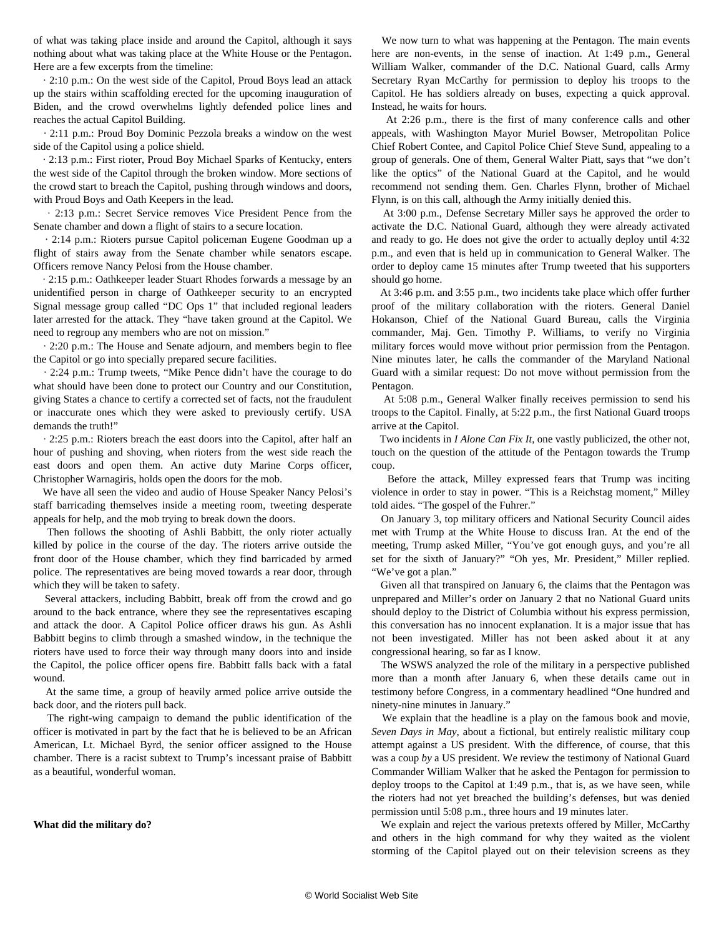of what was taking place inside and around the Capitol, although it says nothing about what was taking place at the White House or the Pentagon. Here are a few excerpts from the timeline:

 · 2:10 p.m.: On the west side of the Capitol, Proud Boys lead an attack up the stairs within scaffolding erected for the upcoming inauguration of Biden, and the crowd overwhelms lightly defended police lines and reaches the actual Capitol Building.

 · 2:11 p.m.: Proud Boy Dominic Pezzola breaks a window on the west side of the Capitol using a police shield.

 · 2:13 p.m.: First rioter, Proud Boy Michael Sparks of Kentucky, enters the west side of the Capitol through the broken window. More sections of the crowd start to breach the Capitol, pushing through windows and doors, with Proud Boys and Oath Keepers in the lead.

 · 2:13 p.m.: Secret Service removes Vice President Pence from the Senate chamber and down a flight of stairs to a secure location.

 · 2:14 p.m.: Rioters pursue Capitol policeman Eugene Goodman up a flight of stairs away from the Senate chamber while senators escape. Officers remove Nancy Pelosi from the House chamber.

 · 2:15 p.m.: Oathkeeper leader Stuart Rhodes forwards a message by an unidentified person in charge of Oathkeeper security to an encrypted Signal message group called "DC Ops 1" that included regional leaders later arrested for the attack. They "have taken ground at the Capitol. We need to regroup any members who are not on mission."

 · 2:20 p.m.: The House and Senate adjourn, and members begin to flee the Capitol or go into specially prepared secure facilities.

 · 2:24 p.m.: Trump tweets, "Mike Pence didn't have the courage to do what should have been done to protect our Country and our Constitution, giving States a chance to certify a corrected set of facts, not the fraudulent or inaccurate ones which they were asked to previously certify. USA demands the truth!"

 · 2:25 p.m.: Rioters breach the east doors into the Capitol, after half an hour of pushing and shoving, when rioters from the west side reach the east doors and open them. An active duty Marine Corps officer, Christopher Warnagiris, holds open the doors for the mob.

 We have all seen the video and audio of House Speaker Nancy Pelosi's staff barricading themselves inside a meeting room, tweeting desperate appeals for help, and the mob trying to break down the doors.

 Then follows the shooting of Ashli Babbitt, the only rioter actually killed by police in the course of the day. The rioters arrive outside the front door of the House chamber, which they find barricaded by armed police. The representatives are being moved towards a rear door, through which they will be taken to safety.

 Several attackers, including Babbitt, break off from the crowd and go around to the back entrance, where they see the representatives escaping and attack the door. A Capitol Police officer draws his gun. As Ashli Babbitt begins to climb through a smashed window, in the technique the rioters have used to force their way through many doors into and inside the Capitol, the police officer opens fire. Babbitt falls back with a fatal wound.

 At the same time, a group of heavily armed police arrive outside the back door, and the rioters pull back.

 The right-wing campaign to demand the public identification of the officer is motivated in part by the fact that he is believed to be an African American, Lt. Michael Byrd, the senior officer assigned to the House chamber. There is a racist subtext to Trump's incessant praise of Babbitt as a beautiful, wonderful woman.

**What did the military do?**

 We now turn to what was happening at the Pentagon. The main events here are non-events, in the sense of inaction. At 1:49 p.m., General William Walker, commander of the D.C. National Guard, calls Army Secretary Ryan McCarthy for permission to deploy his troops to the Capitol. He has soldiers already on buses, expecting a quick approval. Instead, he waits for hours.

 At 2:26 p.m., there is the first of many conference calls and other appeals, with Washington Mayor Muriel Bowser, Metropolitan Police Chief Robert Contee, and Capitol Police Chief Steve Sund, appealing to a group of generals. One of them, General Walter Piatt, says that "we don't like the optics" of the National Guard at the Capitol, and he would recommend not sending them. Gen. Charles Flynn, brother of Michael Flynn, is on this call, although the Army initially denied this.

 At 3:00 p.m., Defense Secretary Miller says he approved the order to activate the D.C. National Guard, although they were already activated and ready to go. He does not give the order to actually deploy until 4:32 p.m., and even that is held up in communication to General Walker. The order to deploy came 15 minutes after Trump tweeted that his supporters should go home.

 At 3:46 p.m. and 3:55 p.m., two incidents take place which offer further proof of the military collaboration with the rioters. General Daniel Hokanson, Chief of the National Guard Bureau, calls the Virginia commander, Maj. Gen. Timothy P. Williams, to verify no Virginia military forces would move without prior permission from the Pentagon. Nine minutes later, he calls the commander of the Maryland National Guard with a similar request: Do not move without permission from the Pentagon.

 At 5:08 p.m., General Walker finally receives permission to send his troops to the Capitol. Finally, at 5:22 p.m., the first National Guard troops arrive at the Capitol.

 Two incidents in *I Alone Can Fix It*, one vastly publicized, the other not, touch on the question of the attitude of the Pentagon towards the Trump coup.

 Before the attack, Milley expressed fears that Trump was inciting violence in order to stay in power. "This is a Reichstag moment," Milley told aides. "The gospel of the Fuhrer."

 On January 3, top military officers and National Security Council aides met with Trump at the White House to discuss Iran. At the end of the meeting, Trump asked Miller, "You've got enough guys, and you're all set for the sixth of January?" "Oh yes, Mr. President," Miller replied. "We've got a plan."

 Given all that transpired on January 6, the claims that the Pentagon was unprepared and Miller's order on January 2 that no National Guard units should deploy to the District of Columbia without his express permission, this conversation has no innocent explanation. It is a major issue that has not been investigated. Miller has not been asked about it at any congressional hearing, so far as I know.

 The WSWS analyzed the role of the military in a perspective published more than a month after January 6, when these details came out in testimony before Congress, in a commentary headlined ["One hundred and](/en/articles/2021/03/06/pers-m06.html) [ninety-nine minutes in January.](/en/articles/2021/03/06/pers-m06.html)"

 We explain that the headline is a play on the famous book and movie, *Seven Days in May*, about a fictional, but entirely realistic military coup attempt against a US president. With the difference, of course, that this was a coup *by* a US president. We review the testimony of National Guard Commander William Walker that he asked the Pentagon for permission to deploy troops to the Capitol at 1:49 p.m., that is, as we have seen, while the rioters had not yet breached the building's defenses, but was denied permission until 5:08 p.m., three hours and 19 minutes later.

 We explain and reject the various pretexts offered by Miller, McCarthy and others in the high command for why they waited as the violent storming of the Capitol played out on their television screens as they